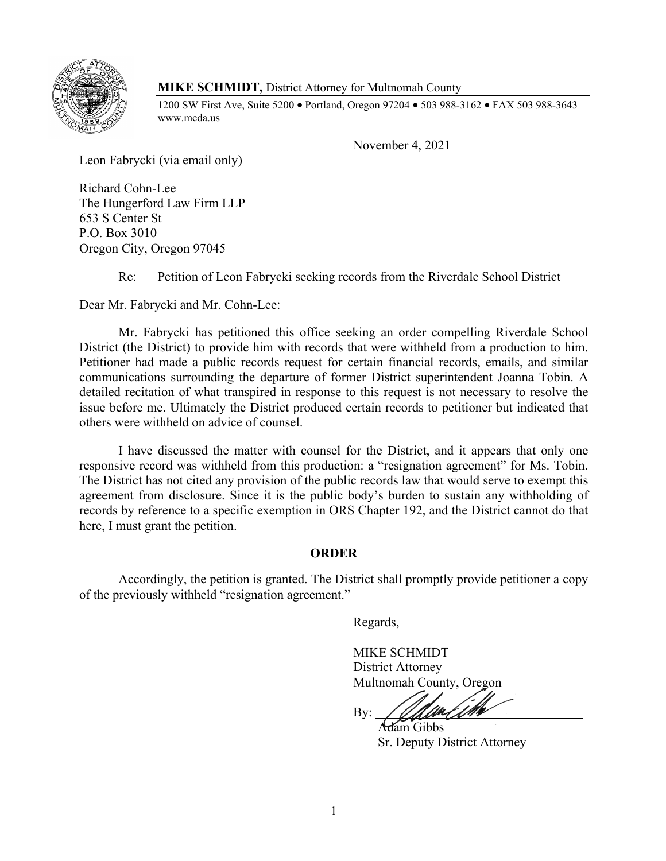

## **MIKE SCHMIDT,** District Attorney for Multnomah County

1200 SW First Ave, Suite 5200 • Portland, Oregon 97204 • 503 988-3162 • FAX 503 988-3643 www.mcda.us

November 4, 2021

Leon Fabrycki (via email only)

Richard Cohn-Lee The Hungerford Law Firm LLP 653 S Center St P.O. Box 3010 Oregon City, Oregon 97045

Re: Petition of Leon Fabrycki seeking records from the Riverdale School District

Dear Mr. Fabrycki and Mr. Cohn-Lee:

Mr. Fabrycki has petitioned this office seeking an order compelling Riverdale School District (the District) to provide him with records that were withheld from a production to him. Petitioner had made a public records request for certain financial records, emails, and similar communications surrounding the departure of former District superintendent Joanna Tobin. A detailed recitation of what transpired in response to this request is not necessary to resolve the issue before me. Ultimately the District produced certain records to petitioner but indicated that others were withheld on advice of counsel.

I have discussed the matter with counsel for the District, and it appears that only one responsive record was withheld from this production: a "resignation agreement" for Ms. Tobin. The District has not cited any provision of the public records law that would serve to exempt this agreement from disclosure. Since it is the public body's burden to sustain any withholding of records by reference to a specific exemption in ORS Chapter 192, and the District cannot do that here, I must grant the petition.

## **ORDER**

Accordingly, the petition is granted. The District shall promptly provide petitioner a copy of the previously withheld "resignation agreement."

Regards,

MIKE SCHMIDT District Attorney Multnomah County, Oregon

By:

Adam Gibbs Sr. Deputy District Attorney